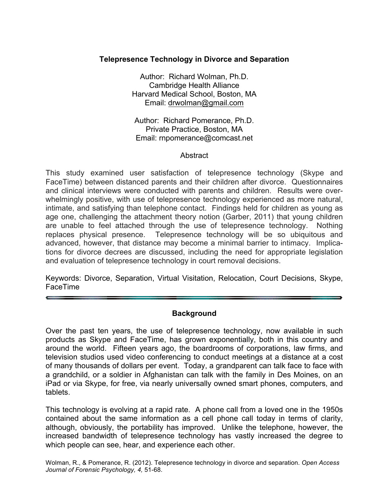## **Telepresence Technology in Divorce and Separation**

Author: Richard Wolman, Ph.D. Cambridge Health Alliance Harvard Medical School, Boston, MA Email: drwolman@gmail.com

Author: Richard Pomerance, Ph.D. Private Practice, Boston, MA Email: rnpomerance@comcast.net

### **Abstract**

This study examined user satisfaction of telepresence technology (Skype and FaceTime) between distanced parents and their children after divorce. Questionnaires and clinical interviews were conducted with parents and children. Results were overwhelmingly positive, with use of telepresence technology experienced as more natural, intimate, and satisfying than telephone contact. Findings held for children as young as age one, challenging the attachment theory notion (Garber, 2011) that young children are unable to feel attached through the use of telepresence technology. Nothing replaces physical presence. Telepresence technology will be so ubiquitous and advanced, however, that distance may become a minimal barrier to intimacy. Implications for divorce decrees are discussed, including the need for appropriate legislation and evaluation of telepresence technology in court removal decisions.

Keywords: Divorce, Separation, Virtual Visitation, Relocation, Court Decisions, Skype, FaceTime

#### **Background**

Over the past ten years, the use of telepresence technology, now available in such products as Skype and FaceTime, has grown exponentially, both in this country and around the world. Fifteen years ago, the boardrooms of corporations, law firms, and television studios used video conferencing to conduct meetings at a distance at a cost of many thousands of dollars per event. Today, a grandparent can talk face to face with a grandchild, or a soldier in Afghanistan can talk with the family in Des Moines, on an iPad or via Skype, for free, via nearly universally owned smart phones, computers, and tablets.

This technology is evolving at a rapid rate. A phone call from a loved one in the 1950s contained about the same information as a cell phone call today in terms of clarity, although, obviously, the portability has improved. Unlike the telephone, however, the increased bandwidth of telepresence technology has vastly increased the degree to which people can see, hear, and experience each other.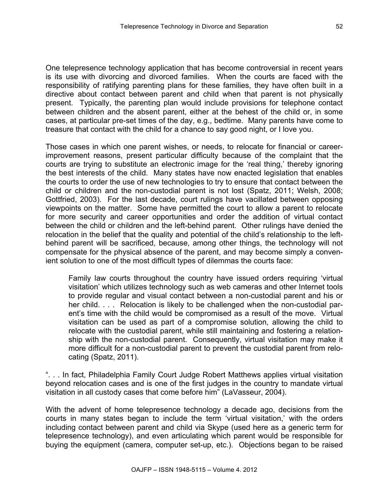One telepresence technology application that has become controversial in recent years is its use with divorcing and divorced families. When the courts are faced with the responsibility of ratifying parenting plans for these families, they have often built in a directive about contact between parent and child when that parent is not physically present. Typically, the parenting plan would include provisions for telephone contact between children and the absent parent, either at the behest of the child or, in some cases, at particular pre-set times of the day, e.g., bedtime. Many parents have come to treasure that contact with the child for a chance to say good night, or I love you.

Those cases in which one parent wishes, or needs, to relocate for financial or careerimprovement reasons, present particular difficulty because of the complaint that the courts are trying to substitute an electronic image for the 'real thing,' thereby ignoring the best interests of the child. Many states have now enacted legislation that enables the courts to order the use of new technologies to try to ensure that contact between the child or children and the non-custodial parent is not lost (Spatz, 2011; Welsh, 2008; Gottfried, 2003). For the last decade, court rulings have vacillated between opposing viewpoints on the matter. Some have permitted the court to allow a parent to relocate for more security and career opportunities and order the addition of virtual contact between the child or children and the left-behind parent. Other rulings have denied the relocation in the belief that the quality and potential of the child's relationship to the leftbehind parent will be sacrificed, because, among other things, the technology will not compensate for the physical absence of the parent, and may become simply a convenient solution to one of the most difficult types of dilemmas the courts face:

Family law courts throughout the country have issued orders requiring 'virtual visitation' which utilizes technology such as web cameras and other Internet tools to provide regular and visual contact between a non-custodial parent and his or her child.  $\ldots$  Relocation is likely to be challenged when the non-custodial parent's time with the child would be compromised as a result of the move. Virtual visitation can be used as part of a compromise solution, allowing the child to relocate with the custodial parent, while still maintaining and fostering a relationship with the non-custodial parent. Consequently, virtual visitation may make it more difficult for a non-custodial parent to prevent the custodial parent from relocating (Spatz, 2011).

". . . In fact, Philadelphia Family Court Judge Robert Matthews applies virtual visitation beyond relocation cases and is one of the first judges in the country to mandate virtual visitation in all custody cases that come before him" (LaVasseur, 2004).

With the advent of home telepresence technology a decade ago, decisions from the courts in many states began to include the term 'virtual visitation,' with the orders including contact between parent and child via Skype (used here as a generic term for telepresence technology), and even articulating which parent would be responsible for buying the equipment (camera, computer set-up, etc.). Objections began to be raised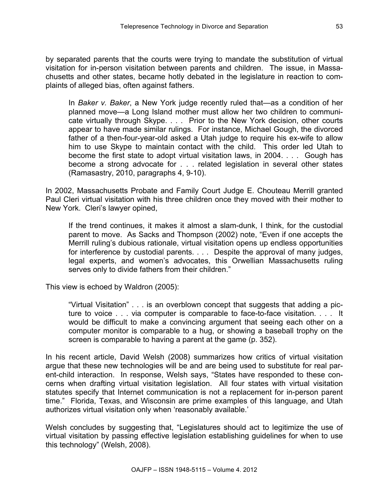by separated parents that the courts were trying to mandate the substitution of virtual visitation for in-person visitation between parents and children. The issue, in Massachusetts and other states, became hotly debated in the legislature in reaction to complaints of alleged bias, often against fathers.

In *Baker v. Baker*, a New York judge recently ruled that—as a condition of her planned move—a Long Island mother must allow her two children to communicate virtually through Skype. . . . Prior to the New York decision, other courts appear to have made similar rulings. For instance, Michael Gough, the divorced father of a then-four-year-old asked a Utah judge to require his ex-wife to allow him to use Skype to maintain contact with the child. This order led Utah to become the first state to adopt virtual visitation laws, in 2004. . . . Gough has become a strong advocate for . . . related legislation in several other states (Ramasastry, 2010, paragraphs 4, 9-10).

In 2002, Massachusetts Probate and Family Court Judge E. Chouteau Merrill granted Paul Cleri virtual visitation with his three children once they moved with their mother to New York. Cleri's lawyer opined,

If the trend continues, it makes it almost a slam-dunk, I think, for the custodial parent to move. As Sacks and Thompson (2002) note, "Even if one accepts the Merrill ruling's dubious rationale, virtual visitation opens up endless opportunities for interference by custodial parents. . . . Despite the approval of many judges, legal experts, and women's advocates, this Orwellian Massachusetts ruling serves only to divide fathers from their children."

This view is echoed by Waldron (2005):

"Virtual Visitation" . . . is an overblown concept that suggests that adding a picture to voice . . . via computer is comparable to face-to-face visitation. . . . It would be difficult to make a convincing argument that seeing each other on a computer monitor is comparable to a hug, or showing a baseball trophy on the screen is comparable to having a parent at the game (p. 352).

In his recent article, David Welsh (2008) summarizes how critics of virtual visitation argue that these new technologies will be and are being used to substitute for real parent-child interaction. In response, Welsh says, "States have responded to these concerns when drafting virtual visitation legislation. All four states with virtual visitation statutes specify that Internet communication is not a replacement for in-person parent time." Florida, Texas, and Wisconsin are prime examples of this language, and Utah authorizes virtual visitation only when 'reasonably available.'

Welsh concludes by suggesting that, "Legislatures should act to legitimize the use of virtual visitation by passing effective legislation establishing guidelines for when to use this technology" (Welsh, 2008).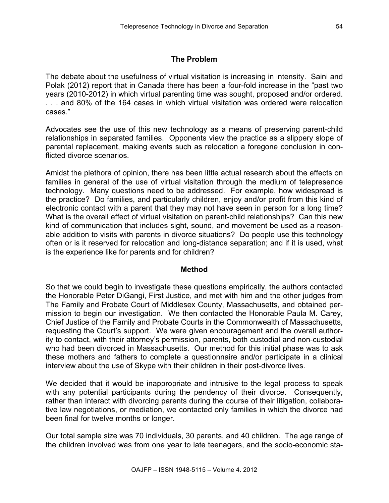# **The Problem**

The debate about the usefulness of virtual visitation is increasing in intensity. Saini and Polak (2012) report that in Canada there has been a four-fold increase in the "past two years (2010-2012) in which virtual parenting time was sought, proposed and/or ordered. . . . and 80% of the 164 cases in which virtual visitation was ordered were relocation cases."

Advocates see the use of this new technology as a means of preserving parent-child relationships in separated families. Opponents view the practice as a slippery slope of parental replacement, making events such as relocation a foregone conclusion in conflicted divorce scenarios.

Amidst the plethora of opinion, there has been little actual research about the effects on families in general of the use of virtual visitation through the medium of telepresence technology. Many questions need to be addressed. For example, how widespread is the practice? Do families, and particularly children, enjoy and/or profit from this kind of electronic contact with a parent that they may not have seen in person for a long time? What is the overall effect of virtual visitation on parent-child relationships? Can this new kind of communication that includes sight, sound, and movement be used as a reasonable addition to visits with parents in divorce situations? Do people use this technology often or is it reserved for relocation and long-distance separation; and if it is used, what is the experience like for parents and for children?

### **Method**

So that we could begin to investigate these questions empirically, the authors contacted the Honorable Peter DiGangi, First Justice, and met with him and the other judges from The Family and Probate Court of Middlesex County, Massachusetts, and obtained permission to begin our investigation. We then contacted the Honorable Paula M. Carey, Chief Justice of the Family and Probate Courts in the Commonwealth of Massachusetts, requesting the Court's support. We were given encouragement and the overall authority to contact, with their attorney's permission, parents, both custodial and non-custodial who had been divorced in Massachusetts. Our method for this initial phase was to ask these mothers and fathers to complete a questionnaire and/or participate in a clinical interview about the use of Skype with their children in their post-divorce lives.

We decided that it would be inappropriate and intrusive to the legal process to speak with any potential participants during the pendency of their divorce. Consequently, rather than interact with divorcing parents during the course of their litigation, collaborative law negotiations, or mediation, we contacted only families in which the divorce had been final for twelve months or longer.

Our total sample size was 70 individuals, 30 parents, and 40 children. The age range of the children involved was from one year to late teenagers, and the socio-economic sta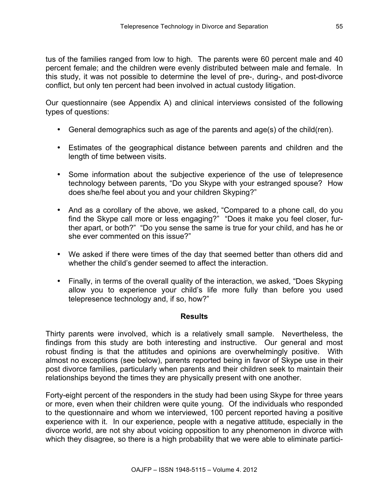tus of the families ranged from low to high. The parents were 60 percent male and 40 percent female; and the children were evenly distributed between male and female. In this study, it was not possible to determine the level of pre-, during-, and post-divorce conflict, but only ten percent had been involved in actual custody litigation.

Our questionnaire (see Appendix A) and clinical interviews consisted of the following types of questions:

- General demographics such as age of the parents and age(s) of the child(ren).
- Estimates of the geographical distance between parents and children and the length of time between visits.
- Some information about the subjective experience of the use of telepresence technology between parents, "Do you Skype with your estranged spouse? How does she/he feel about you and your children Skyping?"
- And as a corollary of the above, we asked, "Compared to a phone call, do you find the Skype call more or less engaging?" "Does it make you feel closer, further apart, or both?" "Do you sense the same is true for your child, and has he or she ever commented on this issue?"
- We asked if there were times of the day that seemed better than others did and whether the child's gender seemed to affect the interaction.
- Finally, in terms of the overall quality of the interaction, we asked, "Does Skyping allow you to experience your child's life more fully than before you used telepresence technology and, if so, how?"

### **Results**

Thirty parents were involved, which is a relatively small sample. Nevertheless, the findings from this study are both interesting and instructive. Our general and most robust finding is that the attitudes and opinions are overwhelmingly positive. With almost no exceptions (see below), parents reported being in favor of Skype use in their post divorce families, particularly when parents and their children seek to maintain their relationships beyond the times they are physically present with one another.

Forty-eight percent of the responders in the study had been using Skype for three years or more, even when their children were quite young. Of the individuals who responded to the questionnaire and whom we interviewed, 100 percent reported having a positive experience with it. In our experience, people with a negative attitude, especially in the divorce world, are not shy about voicing opposition to any phenomenon in divorce with which they disagree, so there is a high probability that we were able to eliminate partici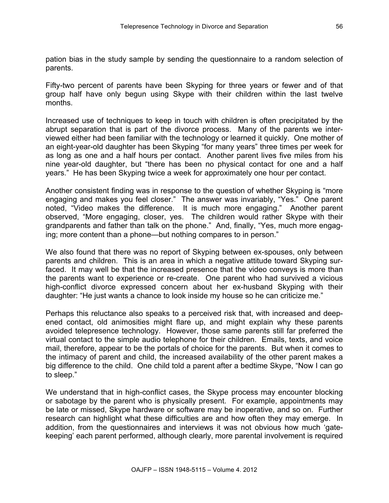pation bias in the study sample by sending the questionnaire to a random selection of parents.

Fifty-two percent of parents have been Skyping for three years or fewer and of that group half have only begun using Skype with their children within the last twelve months.

Increased use of techniques to keep in touch with children is often precipitated by the abrupt separation that is part of the divorce process. Many of the parents we interviewed either had been familiar with the technology or learned it quickly. One mother of an eight-year-old daughter has been Skyping "for many years" three times per week for as long as one and a half hours per contact. Another parent lives five miles from his nine year-old daughter, but "there has been no physical contact for one and a half years." He has been Skyping twice a week for approximately one hour per contact.

Another consistent finding was in response to the question of whether Skyping is "more engaging and makes you feel closer." The answer was invariably, "Yes." One parent noted, "Video makes the difference. It is much more engaging." Another parent observed, "More engaging, closer, yes. The children would rather Skype with their grandparents and father than talk on the phone." And, finally, "Yes, much more engaging; more content than a phone—but nothing compares to in person."

We also found that there was no report of Skyping between ex-spouses, only between parents and children. This is an area in which a negative attitude toward Skyping surfaced. It may well be that the increased presence that the video conveys is more than the parents want to experience or re-create. One parent who had survived a vicious high-conflict divorce expressed concern about her ex-husband Skyping with their daughter: "He just wants a chance to look inside my house so he can criticize me."

Perhaps this reluctance also speaks to a perceived risk that, with increased and deepened contact, old animosities might flare up, and might explain why these parents avoided telepresence technology. However, those same parents still far preferred the virtual contact to the simple audio telephone for their children. Emails, texts, and voice mail, therefore, appear to be the portals of choice for the parents. But when it comes to the intimacy of parent and child, the increased availability of the other parent makes a big difference to the child. One child told a parent after a bedtime Skype, "Now I can go to sleep."

We understand that in high-conflict cases, the Skype process may encounter blocking or sabotage by the parent who is physically present. For example, appointments may be late or missed, Skype hardware or software may be inoperative, and so on. Further research can highlight what these difficulties are and how often they may emerge. In addition, from the questionnaires and interviews it was not obvious how much 'gatekeeping' each parent performed, although clearly, more parental involvement is required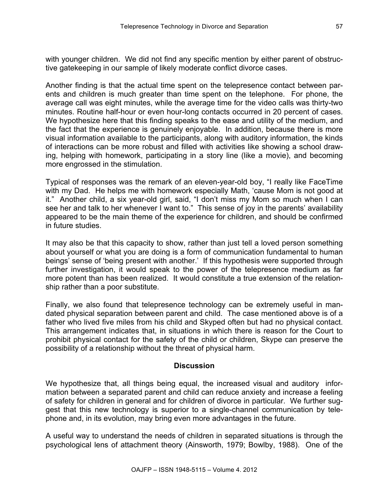with younger children. We did not find any specific mention by either parent of obstructive gatekeeping in our sample of likely moderate conflict divorce cases.

Another finding is that the actual time spent on the telepresence contact between parents and children is much greater than time spent on the telephone. For phone, the average call was eight minutes, while the average time for the video calls was thirty-two minutes. Routine half-hour or even hour-long contacts occurred in 20 percent of cases. We hypothesize here that this finding speaks to the ease and utility of the medium, and the fact that the experience is genuinely enjoyable. In addition, because there is more visual information available to the participants, along with auditory information, the kinds of interactions can be more robust and filled with activities like showing a school drawing, helping with homework, participating in a story line (like a movie), and becoming more engrossed in the stimulation.

Typical of responses was the remark of an eleven-year-old boy, "I really like FaceTime with my Dad. He helps me with homework especially Math, 'cause Mom is not good at it." Another child, a six year-old girl, said, "I don't miss my Mom so much when I can see her and talk to her whenever I want to." This sense of joy in the parents' availability appeared to be the main theme of the experience for children, and should be confirmed in future studies.

It may also be that this capacity to show, rather than just tell a loved person something about yourself or what you are doing is a form of communication fundamental to human beings' sense of 'being present with another.' If this hypothesis were supported through further investigation, it would speak to the power of the telepresence medium as far more potent than has been realized. It would constitute a true extension of the relationship rather than a poor substitute.

Finally, we also found that telepresence technology can be extremely useful in mandated physical separation between parent and child. The case mentioned above is of a father who lived five miles from his child and Skyped often but had no physical contact. This arrangement indicates that, in situations in which there is reason for the Court to prohibit physical contact for the safety of the child or children, Skype can preserve the possibility of a relationship without the threat of physical harm.

### **Discussion**

We hypothesize that, all things being equal, the increased visual and auditory information between a separated parent and child can reduce anxiety and increase a feeling of safety for children in general and for children of divorce in particular. We further suggest that this new technology is superior to a single-channel communication by telephone and, in its evolution, may bring even more advantages in the future.

A useful way to understand the needs of children in separated situations is through the psychological lens of attachment theory (Ainsworth, 1979; Bowlby, 1988). One of the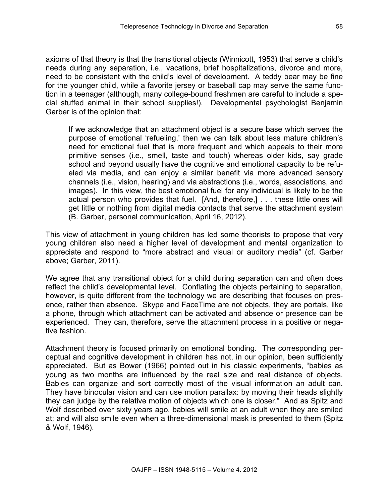axioms of that theory is that the transitional objects (Winnicott, 1953) that serve a child's needs during any separation, i.e., vacations, brief hospitalizations, divorce and more, need to be consistent with the child's level of development. A teddy bear may be fine for the younger child, while a favorite jersey or baseball cap may serve the same function in a teenager (although, many college-bound freshmen are careful to include a special stuffed animal in their school supplies!). Developmental psychologist Benjamin Garber is of the opinion that:

If we acknowledge that an attachment object is a secure base which serves the purpose of emotional 'refueling,' then we can talk about less mature children's need for emotional fuel that is more frequent and which appeals to their more primitive senses (i.e., smell, taste and touch) whereas older kids, say grade school and beyond usually have the cognitive and emotional capacity to be refueled via media, and can enjoy a similar benefit via more advanced sensory channels (i.e., vision, hearing) and via abstractions (i.e., words, associations, and images). In this view, the best emotional fuel for any individual is likely to be the actual person who provides that fuel. [And, therefore,] . . . these little ones will get little or nothing from digital media contacts that serve the attachment system (B. Garber, personal communication, April 16, 2012).

This view of attachment in young children has led some theorists to propose that very young children also need a higher level of development and mental organization to appreciate and respond to "more abstract and visual or auditory media" (cf. Garber above; Garber, 2011).

We agree that any transitional object for a child during separation can and often does reflect the child's developmental level. Conflating the objects pertaining to separation, however, is quite different from the technology we are describing that focuses on presence, rather than absence. Skype and FaceTime are not objects, they are portals, like a phone, through which attachment can be activated and absence or presence can be experienced. They can, therefore, serve the attachment process in a positive or negative fashion.

Attachment theory is focused primarily on emotional bonding. The corresponding perceptual and cognitive development in children has not, in our opinion, been sufficiently appreciated. But as Bower (1966) pointed out in his classic experiments, "babies as young as two months are influenced by the real size and real distance of objects. Babies can organize and sort correctly most of the visual information an adult can. They have binocular vision and can use motion parallax: by moving their heads slightly they can judge by the relative motion of objects which one is closer." And as Spitz and Wolf described over sixty years ago, babies will smile at an adult when they are smiled at; and will also smile even when a three-dimensional mask is presented to them (Spitz & Wolf, 1946).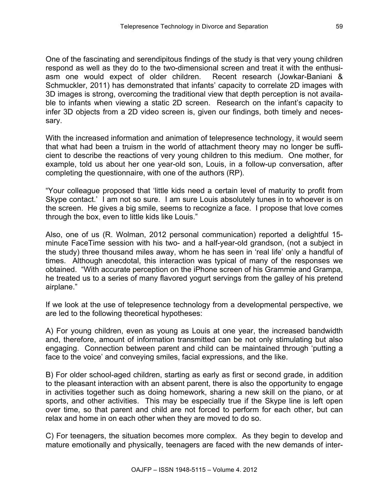One of the fascinating and serendipitous findings of the study is that very young children respond as well as they do to the two-dimensional screen and treat it with the enthusiasm one would expect of older children. Recent research (Jowkar-Baniani & Schmuckler, 2011) has demonstrated that infants' capacity to correlate 2D images with 3D images is strong, overcoming the traditional view that depth perception is not available to infants when viewing a static 2D screen. Research on the infant's capacity to infer 3D objects from a 2D video screen is, given our findings, both timely and necessary.

With the increased information and animation of telepresence technology, it would seem that what had been a truism in the world of attachment theory may no longer be sufficient to describe the reactions of very young children to this medium. One mother, for example, told us about her one year-old son, Louis, in a follow-up conversation, after completing the questionnaire, with one of the authors (RP).

"Your colleague proposed that 'little kids need a certain level of maturity to profit from Skype contact.' I am not so sure. I am sure Louis absolutely tunes in to whoever is on the screen. He gives a big smile, seems to recognize a face. I propose that love comes through the box, even to little kids like Louis."

Also, one of us (R. Wolman, 2012 personal communication) reported a delightful 15 minute FaceTime session with his two- and a half-year-old grandson, (not a subject in the study) three thousand miles away, whom he has seen in 'real life' only a handful of times. Although anecdotal, this interaction was typical of many of the responses we obtained. "With accurate perception on the iPhone screen of his Grammie and Grampa, he treated us to a series of many flavored yogurt servings from the galley of his pretend airplane."

If we look at the use of telepresence technology from a developmental perspective, we are led to the following theoretical hypotheses:

A) For young children, even as young as Louis at one year, the increased bandwidth and, therefore, amount of information transmitted can be not only stimulating but also engaging. Connection between parent and child can be maintained through 'putting a face to the voice' and conveying smiles, facial expressions, and the like.

B) For older school-aged children, starting as early as first or second grade, in addition to the pleasant interaction with an absent parent, there is also the opportunity to engage in activities together such as doing homework, sharing a new skill on the piano, or at sports, and other activities. This may be especially true if the Skype line is left open over time, so that parent and child are not forced to perform for each other, but can relax and home in on each other when they are moved to do so.

C) For teenagers, the situation becomes more complex. As they begin to develop and mature emotionally and physically, teenagers are faced with the new demands of inter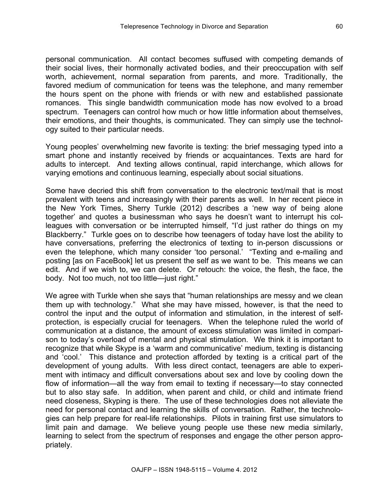personal communication. All contact becomes suffused with competing demands of their social lives, their hormonally activated bodies, and their preoccupation with self worth, achievement, normal separation from parents, and more. Traditionally, the favored medium of communication for teens was the telephone, and many remember the hours spent on the phone with friends or with new and established passionate romances. This single bandwidth communication mode has now evolved to a broad spectrum. Teenagers can control how much or how little information about themselves, their emotions, and their thoughts, is communicated. They can simply use the technology suited to their particular needs.

Young peoples' overwhelming new favorite is texting: the brief messaging typed into a smart phone and instantly received by friends or acquaintances. Texts are hard for adults to intercept. And texting allows continual, rapid interchange, which allows for varying emotions and continuous learning, especially about social situations.

Some have decried this shift from conversation to the electronic text/mail that is most prevalent with teens and increasingly with their parents as well. In her recent piece in the New York Times, Sherry Turkle (2012) describes a 'new way of being alone together' and quotes a businessman who says he doesn't want to interrupt his colleagues with conversation or be interrupted himself, "I'd just rather do things on my Blackberry." Turkle goes on to describe how teenagers of today have lost the ability to have conversations, preferring the electronics of texting to in-person discussions or even the telephone, which many consider 'too personal.' "Texting and e-mailing and posting [as on FaceBook] let us present the self as we want to be. This means we can edit. And if we wish to, we can delete. Or retouch: the voice, the flesh, the face, the body. Not too much, not too little—just right."

We agree with Turkle when she says that "human relationships are messy and we clean them up with technology." What she may have missed, however, is that the need to control the input and the output of information and stimulation, in the interest of selfprotection, is especially crucial for teenagers. When the telephone ruled the world of communication at a distance, the amount of excess stimulation was limited in comparison to today's overload of mental and physical stimulation. We think it is important to recognize that while Skype is a 'warm and communicative' medium, texting is distancing and 'cool.' This distance and protection afforded by texting is a critical part of the development of young adults. With less direct contact, teenagers are able to experiment with intimacy and difficult conversations about sex and love by cooling down the flow of information—all the way from email to texting if necessary—to stay connected but to also stay safe. In addition, when parent and child, or child and intimate friend need closeness, Skyping is there. The use of these technologies does not alleviate the need for personal contact and learning the skills of conversation. Rather, the technologies can help prepare for real-life relationships. Pilots in training first use simulators to limit pain and damage. We believe young people use these new media similarly, learning to select from the spectrum of responses and engage the other person appropriately.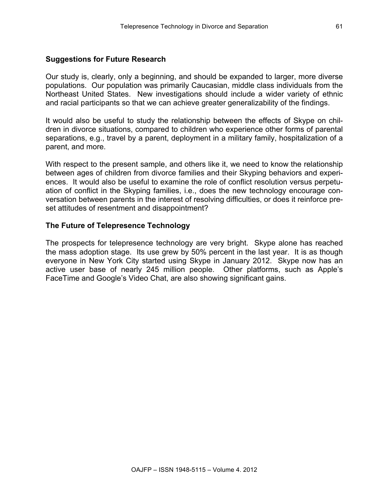61

# **Suggestions for Future Research**

Our study is, clearly, only a beginning, and should be expanded to larger, more diverse populations. Our population was primarily Caucasian, middle class individuals from the Northeast United States. New investigations should include a wider variety of ethnic and racial participants so that we can achieve greater generalizability of the findings.

It would also be useful to study the relationship between the effects of Skype on children in divorce situations, compared to children who experience other forms of parental separations, e.g., travel by a parent, deployment in a military family, hospitalization of a parent, and more.

With respect to the present sample, and others like it, we need to know the relationship between ages of children from divorce families and their Skyping behaviors and experiences. It would also be useful to examine the role of conflict resolution versus perpetuation of conflict in the Skyping families, i.e., does the new technology encourage conversation between parents in the interest of resolving difficulties, or does it reinforce preset attitudes of resentment and disappointment?

# **The Future of Telepresence Technology**

The prospects for telepresence technology are very bright. Skype alone has reached the mass adoption stage. Its use grew by 50% percent in the last year. It is as though everyone in New York City started using Skype in January 2012. Skype now has an active user base of nearly 245 million people. Other platforms, such as Apple's FaceTime and Google's Video Chat, are also showing significant gains.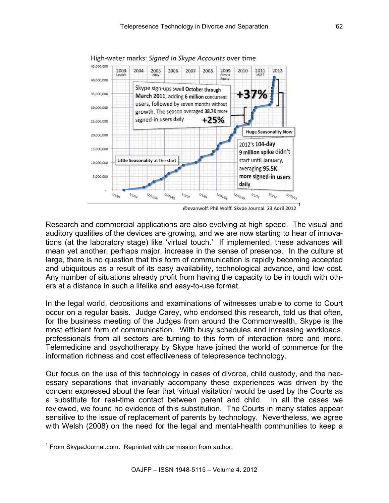

High-water marks: Signed In Skype Accounts over time

@evanwolf. Phil Wolff. Skype Journal. 23 April 2012

1

Research and commercial applications are also evolving at high speed. The visual and auditory qualities of the devices are growing, and we are now starting to hear of innovations (at the laboratory stage) like 'virtual touch.' If implemented, these advances will mean yet another, perhaps major, increase in the sense of presence. In the culture at large, there is no question that this form of communication is rapidly becoming accepted and ubiquitous as a result of its easy availability, technological advance, and low cost. Any number of situations already profit from having the capacity to be in touch with others at a distance in such a lifelike and easy-to-use format.

In the legal world, depositions and examinations of witnesses unable to come to Court occur on a regular basis. Judge Carey, who endorsed this research, told us that often, for the business meeting of the Judges from around the Commonwealth, Skype is the most efficient form of communication. With busy schedules and increasing workloads, professionals from all sectors are turning to this form of interaction more and more. Telemedicine and psychotherapy by Skype have joined the world of commerce for the information richness and cost effectiveness of telepresence technology.

Our focus on the use of this technology in cases of divorce, child custody, and the necessary separations that invariably accompany these experiences was driven by the concern expressed about the fear that 'virtual visitation' would be used by the Courts as a substitute for real-time contact between parent and child. In all the cases we reviewed, we found no evidence of this substitution. The Courts in many states appear sensitive to the issue of replacement of parents by technology. Nevertheless, we agree with Welsh (2008) on the need for the legal and mental-health communities to keep a

<sup>&</sup>lt;sup>1</sup> From SkypeJournal.com. Reprinted with permission from author.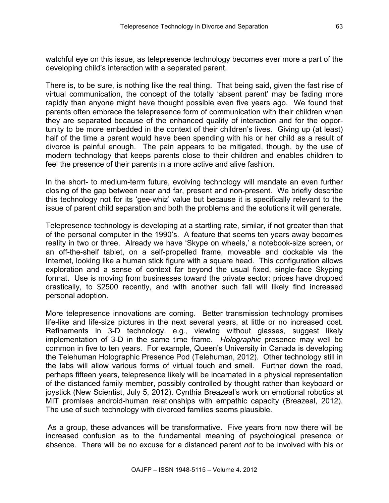watchful eye on this issue, as telepresence technology becomes ever more a part of the developing child's interaction with a separated parent.

There is, to be sure, is nothing like the real thing. That being said, given the fast rise of virtual communication, the concept of the totally 'absent parent' may be fading more rapidly than anyone might have thought possible even five years ago. We found that parents often embrace the telepresence form of communication with their children when they are separated because of the enhanced quality of interaction and for the opportunity to be more embedded in the context of their children's lives. Giving up (at least) half of the time a parent would have been spending with his or her child as a result of divorce is painful enough. The pain appears to be mitigated, though, by the use of modern technology that keeps parents close to their children and enables children to feel the presence of their parents in a more active and alive fashion.

In the short- to medium-term future, evolving technology will mandate an even further closing of the gap between near and far, present and non-present. We briefly describe this technology not for its 'gee-whiz' value but because it is specifically relevant to the issue of parent child separation and both the problems and the solutions it will generate.

Telepresence technology is developing at a startling rate, similar, if not greater than that of the personal computer in the 1990's. A feature that seems ten years away becomes reality in two or three. Already we have 'Skype on wheels,' a notebook-size screen, or an off-the-shelf tablet, on a self-propelled frame, moveable and dockable via the Internet, looking like a human stick figure with a square head. This configuration allows exploration and a sense of context far beyond the usual fixed, single-face Skyping format. Use is moving from businesses toward the private sector: prices have dropped drastically, to \$2500 recently, and with another such fall will likely find increased personal adoption.

More telepresence innovations are coming. Better transmission technology promises life-like and life-size pictures in the next several years, at little or no increased cost. Refinements in 3-D technology, e.g., viewing without glasses, suggest likely implementation of 3-D in the same time frame. *Holographic* presence may well be common in five to ten years. For example, Queen's University in Canada is developing the Telehuman Holographic Presence Pod (Telehuman, 2012). Other technology still in the labs will allow various forms of virtual touch and smell. Further down the road, perhaps fifteen years, telepresence likely will be incarnated in a physical representation of the distanced family member, possibly controlled by thought rather than keyboard or joystick (New Scientist, July 5, 2012). Cynthia Breazeal's work on emotional robotics at MIT promises android-human relationships with empathic capacity (Breazeal, 2012). The use of such technology with divorced families seems plausible.

As a group, these advances will be transformative. Five years from now there will be increased confusion as to the fundamental meaning of psychological presence or absence. There will be no excuse for a distanced parent *not* to be involved with his or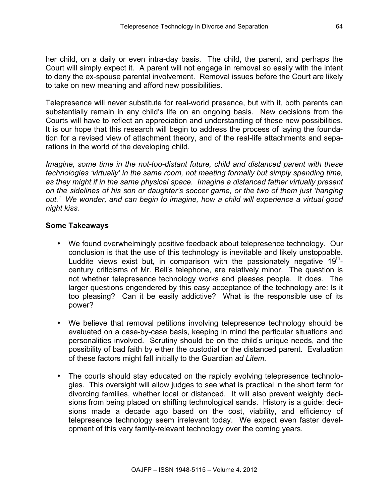her child, on a daily or even intra-day basis. The child, the parent, and perhaps the Court will simply expect it. A parent will not engage in removal so easily with the intent to deny the ex-spouse parental involvement. Removal issues before the Court are likely to take on new meaning and afford new possibilities.

Telepresence will never substitute for real-world presence, but with it, both parents can substantially remain in any child's life on an ongoing basis. New decisions from the Courts will have to reflect an appreciation and understanding of these new possibilities. It is our hope that this research will begin to address the process of laying the foundation for a revised view of attachment theory, and of the real-life attachments and separations in the world of the developing child.

*Imagine, some time in the not-too-distant future, child and distanced parent with these technologies 'virtually' in the same room, not meeting formally but simply spending time, as they might if in the same physical space. Imagine a distanced father virtually present on the sidelines of his son or daughter's soccer game, or the two of them just 'hanging out.' We wonder, and can begin to imagine, how a child will experience a virtual good night kiss.*

### **Some Takeaways**

- We found overwhelmingly positive feedback about telepresence technology. Our conclusion is that the use of this technology is inevitable and likely unstoppable. Luddite views exist but, in comparison with the passionately negative  $19<sup>th</sup>$ century criticisms of Mr. Bell's telephone, are relatively minor. The question is not whether telepresence technology works and pleases people. It does. The larger questions engendered by this easy acceptance of the technology are: Is it too pleasing? Can it be easily addictive? What is the responsible use of its power?
- We believe that removal petitions involving telepresence technology should be evaluated on a case-by-case basis, keeping in mind the particular situations and personalities involved. Scrutiny should be on the child's unique needs, and the possibility of bad faith by either the custodial or the distanced parent. Evaluation of these factors might fall initially to the Guardian *ad Litem.*
- The courts should stay educated on the rapidly evolving telepresence technologies. This oversight will allow judges to see what is practical in the short term for divorcing families, whether local or distanced. It will also prevent weighty decisions from being placed on shifting technological sands. History is a guide: decisions made a decade ago based on the cost, viability, and efficiency of telepresence technology seem irrelevant today. We expect even faster development of this very family-relevant technology over the coming years.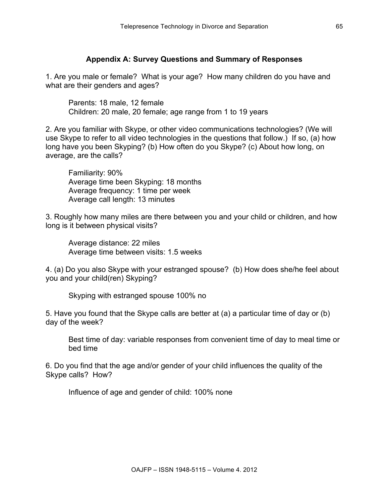# **Appendix A: Survey Questions and Summary of Responses**

1. Are you male or female? What is your age? How many children do you have and what are their genders and ages?

Parents: 18 male, 12 female Children: 20 male, 20 female; age range from 1 to 19 years

2. Are you familiar with Skype, or other video communications technologies? (We will use Skype to refer to all video technologies in the questions that follow.) If so, (a) how long have you been Skyping? (b) How often do you Skype? (c) About how long, on average, are the calls?

Familiarity: 90% Average time been Skyping: 18 months Average frequency: 1 time per week Average call length: 13 minutes

3. Roughly how many miles are there between you and your child or children, and how long is it between physical visits?

Average distance: 22 miles Average time between visits: 1.5 weeks

4. (a) Do you also Skype with your estranged spouse? (b) How does she/he feel about you and your child(ren) Skyping?

Skyping with estranged spouse 100% no

5. Have you found that the Skype calls are better at (a) a particular time of day or (b) day of the week?

Best time of day: variable responses from convenient time of day to meal time or bed time

6. Do you find that the age and/or gender of your child influences the quality of the Skype calls? How?

Influence of age and gender of child: 100% none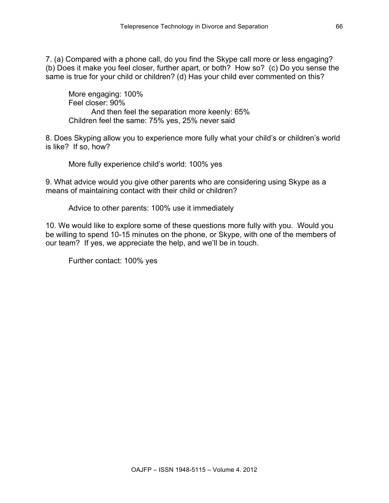7. (a) Compared with a phone call, do you find the Skype call more or less engaging? (b) Does it make you feel closer, further apart, or both? How so? (c) Do you sense the same is true for your child or children? (d) Has your child ever commented on this?

More engaging: 100% Feel closer: 90% And then feel the separation more keenly: 65% Children feel the same: 75% yes, 25% never said

8. Does Skyping allow you to experience more fully what your child's or children's world is like? If so, how?

More fully experience child's world: 100% yes

9. What advice would you give other parents who are considering using Skype as a means of maintaining contact with their child or children?

Advice to other parents: 100% use it immediately

10. We would like to explore some of these questions more fully with you. Would you be willing to spend 10-15 minutes on the phone, or Skype, with one of the members of our team? If yes, we appreciate the help, and we'll be in touch.

Further contact: 100% yes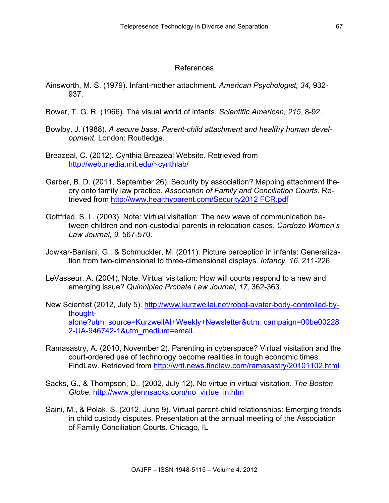### References

- Ainsworth, M. S. (1979). Infant-mother attachment. *American Psychologist, 34*, 932- 937.
- Bower, T. G. R. (1966). The visual world of infants. *Scientific American, 215*, 8-92.
- Bowlby, J. (1988). *A secure base: Parent-child attachment and healthy human development.* London: Routledge.
- Breazeal, C. (2012). Cynthia Breazeal Website. Retrieved from http://web.media.mit.edu/~cynthiab/
- Garber, B. D. (2011, September 26). Security by association? Mapping attachment theory onto family law practice. *Association of Family and Conciliation Courts.* Retrieved from http://www.healthyparent.com/Security2012 FCR.pdf
- Gottfried, S. L. (2003). Note: Virtual visitation: The new wave of communication between children and non-custodial parents in relocation cases. *Cardozo Women's Law Journal, 9,* 567-570.
- Jowkar-Baniani, G., & Schmuckler, M. (2011). Picture perception in infants: Generalization from two-dimensional to three-dimensional displays. *Infancy, 16*, 211-226.
- LeVasseur, A. (2004). Note: Virtual visitation: How will courts respond to a new and emerging issue? *Quinnipiac Probate Law Journal, 17,* 362-363.
- New Scientist (2012, July 5). http://www.kurzweilai.net/robot-avatar-body-controlled-bythoughtalone?utm\_source=KurzweilAI+Weekly+Newsletter&utm\_campaign=00be00228 2-UA-946742-1&utm\_medium=email.
- Ramasastry, A. (2010, November 2). Parenting in cyberspace? Virtual visitation and the court-ordered use of technology become realities in tough economic times. FindLaw. Retrieved from http://writ.news.findlaw.com/ramasastry/20101102.html
- Sacks, G., & Thompson, D., (2002, July 12). No virtue in virtual visitation. *The Boston Globe*. http://www.glennsacks.com/no\_virtue\_in.htm
- Saini, M., & Polak, S. (2012, June 9). Virtual parent-child relationships: Emerging trends in child custody disputes. Presentation at the annual meeting of the Association of Family Conciliation Courts. Chicago, IL